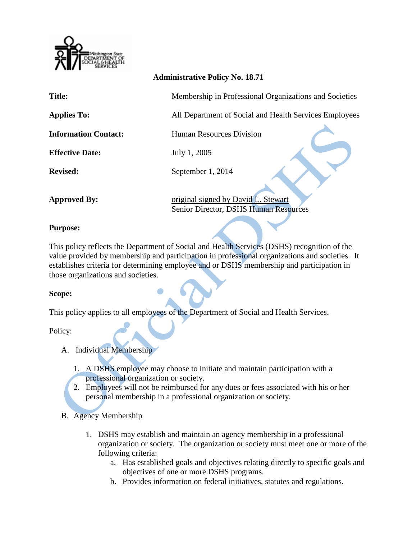

## **Administrative Policy No. 18.71**

| <b>Title:</b>               | Membership in Professional Organizations and Societies                       |
|-----------------------------|------------------------------------------------------------------------------|
| <b>Applies To:</b>          | All Department of Social and Health Services Employees                       |
| <b>Information Contact:</b> | <b>Human Resources Division</b>                                              |
| <b>Effective Date:</b>      | July 1, 2005                                                                 |
| <b>Revised:</b>             | September 1, 2014                                                            |
| <b>Approved By:</b>         | original signed by David L. Stewart<br>Senior Director, DSHS Human Resources |

## **Purpose:**

This policy reflects the Department of Social and Health Services (DSHS) recognition of the value provided by membership and participation in professional organizations and societies. It establishes criteria for determining employee and or DSHS membership and participation in those organizations and societies.

## **Scope:**

This policy applies to all employees of the Department of Social and Health Services.

Policy:

- A. Individual Membership
	- 1. A DSHS employee may choose to initiate and maintain participation with a professional organization or society.
	- 2. Employees will not be reimbursed for any dues or fees associated with his or her personal membership in a professional organization or society.
- B. Agency Membership
	- 1. DSHS may establish and maintain an agency membership in a professional organization or society. The organization or society must meet one or more of the following criteria:
		- a. Has established goals and objectives relating directly to specific goals and objectives of one or more DSHS programs.
		- b. Provides information on federal initiatives, statutes and regulations.